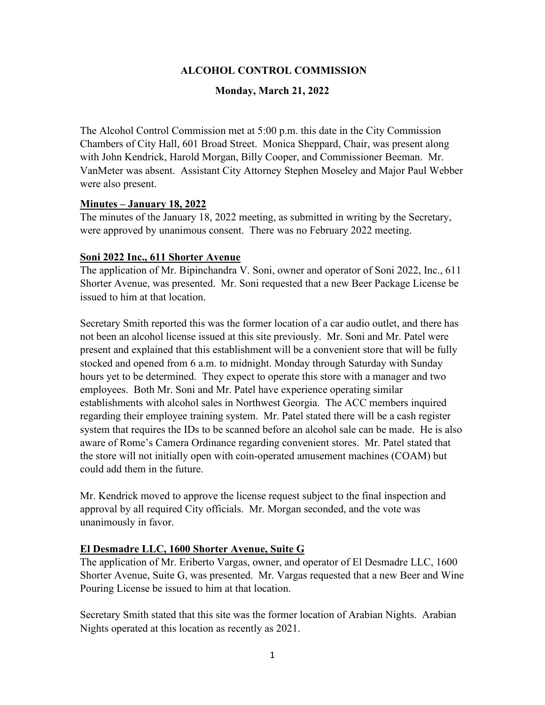## **ALCOHOL CONTROL COMMISSION**

#### **Monday, March 21, 2022**

The Alcohol Control Commission met at 5:00 p.m. this date in the City Commission Chambers of City Hall, 601 Broad Street. Monica Sheppard, Chair, was present along with John Kendrick, Harold Morgan, Billy Cooper, and Commissioner Beeman. Mr. VanMeter was absent. Assistant City Attorney Stephen Moseley and Major Paul Webber were also present.

## **Minutes – January 18, 2022**

The minutes of the January 18, 2022 meeting, as submitted in writing by the Secretary, were approved by unanimous consent. There was no February 2022 meeting.

#### **Soni 2022 Inc., 611 Shorter Avenue**

The application of Mr. Bipinchandra V. Soni, owner and operator of Soni 2022, Inc., 611 Shorter Avenue, was presented. Mr. Soni requested that a new Beer Package License be issued to him at that location.

Secretary Smith reported this was the former location of a car audio outlet, and there has not been an alcohol license issued at this site previously. Mr. Soni and Mr. Patel were present and explained that this establishment will be a convenient store that will be fully stocked and opened from 6 a.m. to midnight. Monday through Saturday with Sunday hours yet to be determined. They expect to operate this store with a manager and two employees. Both Mr. Soni and Mr. Patel have experience operating similar establishments with alcohol sales in Northwest Georgia. The ACC members inquired regarding their employee training system. Mr. Patel stated there will be a cash register system that requires the IDs to be scanned before an alcohol sale can be made. He is also aware of Rome's Camera Ordinance regarding convenient stores. Mr. Patel stated that the store will not initially open with coin-operated amusement machines (COAM) but could add them in the future.

Mr. Kendrick moved to approve the license request subject to the final inspection and approval by all required City officials. Mr. Morgan seconded, and the vote was unanimously in favor.

## **El Desmadre LLC, 1600 Shorter Avenue, Suite G**

The application of Mr. Eriberto Vargas, owner, and operator of El Desmadre LLC, 1600 Shorter Avenue, Suite G, was presented. Mr. Vargas requested that a new Beer and Wine Pouring License be issued to him at that location.

Secretary Smith stated that this site was the former location of Arabian Nights. Arabian Nights operated at this location as recently as 2021.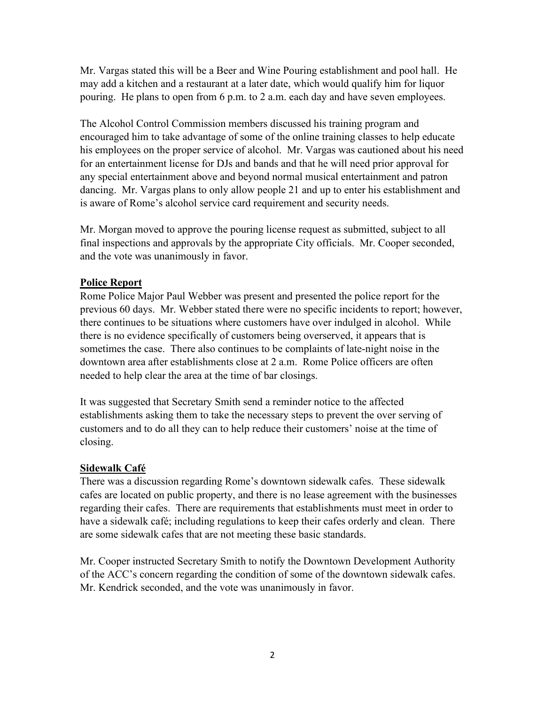Mr. Vargas stated this will be a Beer and Wine Pouring establishment and pool hall. He may add a kitchen and a restaurant at a later date, which would qualify him for liquor pouring. He plans to open from 6 p.m. to 2 a.m. each day and have seven employees.

The Alcohol Control Commission members discussed his training program and encouraged him to take advantage of some of the online training classes to help educate his employees on the proper service of alcohol. Mr. Vargas was cautioned about his need for an entertainment license for DJs and bands and that he will need prior approval for any special entertainment above and beyond normal musical entertainment and patron dancing. Mr. Vargas plans to only allow people 21 and up to enter his establishment and is aware of Rome's alcohol service card requirement and security needs.

Mr. Morgan moved to approve the pouring license request as submitted, subject to all final inspections and approvals by the appropriate City officials. Mr. Cooper seconded, and the vote was unanimously in favor.

## **Police Report**

Rome Police Major Paul Webber was present and presented the police report for the previous 60 days. Mr. Webber stated there were no specific incidents to report; however, there continues to be situations where customers have over indulged in alcohol. While there is no evidence specifically of customers being overserved, it appears that is sometimes the case. There also continues to be complaints of late-night noise in the downtown area after establishments close at 2 a.m. Rome Police officers are often needed to help clear the area at the time of bar closings.

It was suggested that Secretary Smith send a reminder notice to the affected establishments asking them to take the necessary steps to prevent the over serving of customers and to do all they can to help reduce their customers' noise at the time of closing.

## **Sidewalk Café**

There was a discussion regarding Rome's downtown sidewalk cafes. These sidewalk cafes are located on public property, and there is no lease agreement with the businesses regarding their cafes. There are requirements that establishments must meet in order to have a sidewalk café; including regulations to keep their cafes orderly and clean. There are some sidewalk cafes that are not meeting these basic standards.

Mr. Cooper instructed Secretary Smith to notify the Downtown Development Authority of the ACC's concern regarding the condition of some of the downtown sidewalk cafes. Mr. Kendrick seconded, and the vote was unanimously in favor.